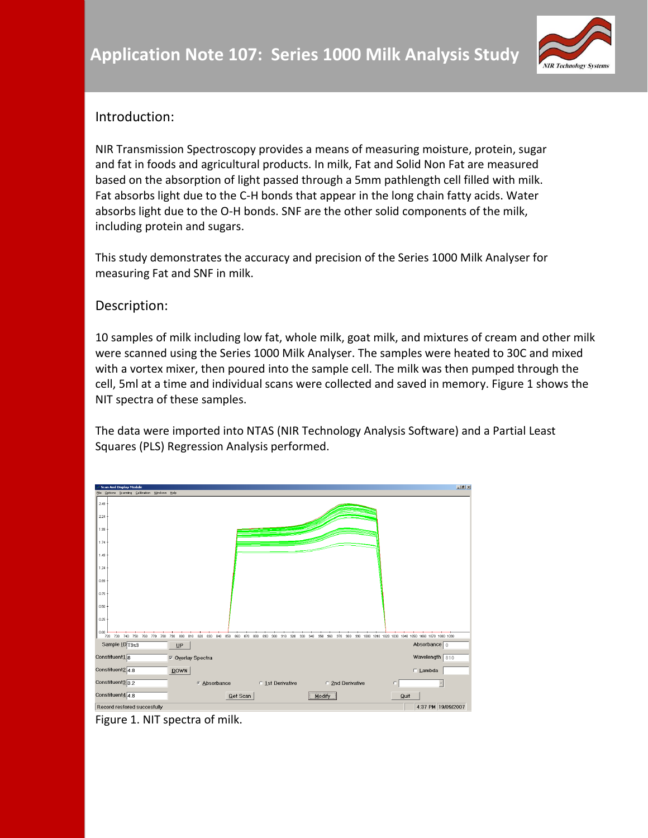

## Introduction:

NIR Transmission Spectroscopy provides a means of measuring moisture, protein, sugar and fat in foods and agricultural products. In milk, Fat and Solid Non Fat are measured based on the absorption of light passed through a 5mm pathlength cell filled with milk. Fat absorbs light due to the C-H bonds that appear in the long chain fatty acids. Water absorbs light due to the O-H bonds. SNF are the other solid components of the milk, including protein and sugars.

This study demonstrates the accuracy and precision of the Series 1000 Milk Analyser for measuring Fat and SNF in milk.

## Description:

10 samples of milk including low fat, whole milk, goat milk, and mixtures of cream and other milk were scanned using the Series 1000 Milk Analyser. The samples were heated to 30C and mixed with a vortex mixer, then poured into the sample cell. The milk was then pumped through the cell, 5ml at a time and individual scans were collected and saved in memory. Figure 1 shows the NIT spectra of these samples.

The data were imported into NTAS (NIR Technology Analysis Software) and a Partial Least Squares (PLS) Regression Analysis performed.

| <b>Scan And Display Module</b>                                                                                                                                                 | $-10 \times$           |
|--------------------------------------------------------------------------------------------------------------------------------------------------------------------------------|------------------------|
| Elle Options Scanning Calibration Windows Help                                                                                                                                 |                        |
| $2.49 +$                                                                                                                                                                       |                        |
| $2.24 +$                                                                                                                                                                       |                        |
| $1.99 -$                                                                                                                                                                       |                        |
| $1.74 +$                                                                                                                                                                       |                        |
| $1.49 -$                                                                                                                                                                       |                        |
| $1.24 -$                                                                                                                                                                       |                        |
| $0.99 -$                                                                                                                                                                       |                        |
| $0.75 +$                                                                                                                                                                       |                        |
| $0.50 -$                                                                                                                                                                       |                        |
| $0.25 -$                                                                                                                                                                       |                        |
| 0.00<br>720 730 740 750 760 770 780 790 800 810 820 830 840 850 860 870 880 890 900 910 920 930 940 950 960 970 980 990 1000 1010 1020 1030 1040 1050 1050 1060 1070 1080 1090 |                        |
| Sample ID T3s3<br>UP                                                                                                                                                           | Absorbance $\boxed{0}$ |
| Constituent18<br><b>▽ Overlay Spectra</b>                                                                                                                                      | Wavelength 810         |
| Constituent2 $\boxed{4.8}$<br><b>DOWN</b>                                                                                                                                      | $\Box$ Lambda          |
| Constituent3 <sub>3.2</sub><br>Absorbance<br>2nd Derivative<br>C 1st Derivative<br>$\subset$                                                                                   |                        |
| Constituent4 4.8<br>Get Scan<br>Modify                                                                                                                                         | Quit                   |
| Record restored succesfully                                                                                                                                                    | 4:37 PM 19/09/2007     |

Figure 1. NIT spectra of milk.